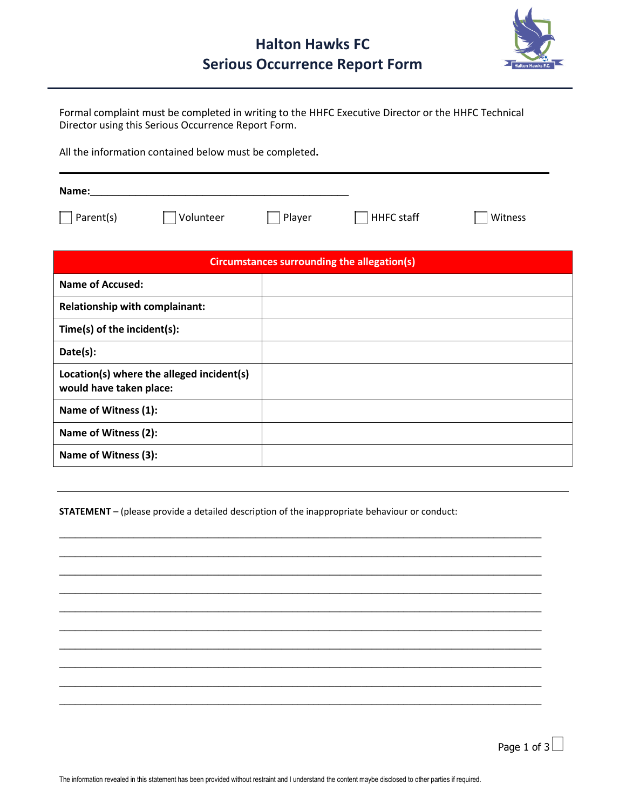

Formal complaint must be completed in writing to the HHFC Executive Director or the HHFC Technical Director using this Serious Occurrence Report Form.

All the information contained below must be completed**.**

| Name:     |           |        |            |         |
|-----------|-----------|--------|------------|---------|
| Parent(s) | Volunteer | Player | HHFC staff | Witness |

| Circumstances surrounding the allegation(s)                          |  |  |  |  |
|----------------------------------------------------------------------|--|--|--|--|
| Name of Accused:                                                     |  |  |  |  |
| <b>Relationship with complainant:</b>                                |  |  |  |  |
| Time(s) of the incident(s):                                          |  |  |  |  |
| Date(s):                                                             |  |  |  |  |
| Location(s) where the alleged incident(s)<br>would have taken place: |  |  |  |  |
| Name of Witness (1):                                                 |  |  |  |  |
| Name of Witness (2):                                                 |  |  |  |  |
| Name of Witness (3):                                                 |  |  |  |  |

**STATEMENT** – (please provide a detailed description of the inappropriate behaviour or conduct:

\_\_\_\_\_\_\_\_\_\_\_\_\_\_\_\_\_\_\_\_\_\_\_\_\_\_\_\_\_\_\_\_\_\_\_\_\_\_\_\_\_\_\_\_\_\_\_\_\_\_\_\_\_\_\_\_\_\_\_\_\_\_\_\_\_\_\_\_\_\_\_\_\_\_\_\_\_\_\_\_\_\_\_\_\_\_\_\_\_\_\_ \_\_\_\_\_\_\_\_\_\_\_\_\_\_\_\_\_\_\_\_\_\_\_\_\_\_\_\_\_\_\_\_\_\_\_\_\_\_\_\_\_\_\_\_\_\_\_\_\_\_\_\_\_\_\_\_\_\_\_\_\_\_\_\_\_\_\_\_\_\_\_\_\_\_\_\_\_\_\_\_\_\_\_\_\_\_\_\_\_\_\_ \_\_\_\_\_\_\_\_\_\_\_\_\_\_\_\_\_\_\_\_\_\_\_\_\_\_\_\_\_\_\_\_\_\_\_\_\_\_\_\_\_\_\_\_\_\_\_\_\_\_\_\_\_\_\_\_\_\_\_\_\_\_\_\_\_\_\_\_\_\_\_\_\_\_\_\_\_\_\_\_\_\_\_\_\_\_\_\_\_\_\_ \_\_\_\_\_\_\_\_\_\_\_\_\_\_\_\_\_\_\_\_\_\_\_\_\_\_\_\_\_\_\_\_\_\_\_\_\_\_\_\_\_\_\_\_\_\_\_\_\_\_\_\_\_\_\_\_\_\_\_\_\_\_\_\_\_\_\_\_\_\_\_\_\_\_\_\_\_\_\_\_\_\_\_\_\_\_\_\_\_\_\_ \_\_\_\_\_\_\_\_\_\_\_\_\_\_\_\_\_\_\_\_\_\_\_\_\_\_\_\_\_\_\_\_\_\_\_\_\_\_\_\_\_\_\_\_\_\_\_\_\_\_\_\_\_\_\_\_\_\_\_\_\_\_\_\_\_\_\_\_\_\_\_\_\_\_\_\_\_\_\_\_\_\_\_\_\_\_\_\_\_\_\_ \_\_\_\_\_\_\_\_\_\_\_\_\_\_\_\_\_\_\_\_\_\_\_\_\_\_\_\_\_\_\_\_\_\_\_\_\_\_\_\_\_\_\_\_\_\_\_\_\_\_\_\_\_\_\_\_\_\_\_\_\_\_\_\_\_\_\_\_\_\_\_\_\_\_\_\_\_\_\_\_\_\_\_\_\_\_\_\_\_\_\_ \_\_\_\_\_\_\_\_\_\_\_\_\_\_\_\_\_\_\_\_\_\_\_\_\_\_\_\_\_\_\_\_\_\_\_\_\_\_\_\_\_\_\_\_\_\_\_\_\_\_\_\_\_\_\_\_\_\_\_\_\_\_\_\_\_\_\_\_\_\_\_\_\_\_\_\_\_\_\_\_\_\_\_\_\_\_\_\_\_\_\_ \_\_\_\_\_\_\_\_\_\_\_\_\_\_\_\_\_\_\_\_\_\_\_\_\_\_\_\_\_\_\_\_\_\_\_\_\_\_\_\_\_\_\_\_\_\_\_\_\_\_\_\_\_\_\_\_\_\_\_\_\_\_\_\_\_\_\_\_\_\_\_\_\_\_\_\_\_\_\_\_\_\_\_\_\_\_\_\_\_\_\_ \_\_\_\_\_\_\_\_\_\_\_\_\_\_\_\_\_\_\_\_\_\_\_\_\_\_\_\_\_\_\_\_\_\_\_\_\_\_\_\_\_\_\_\_\_\_\_\_\_\_\_\_\_\_\_\_\_\_\_\_\_\_\_\_\_\_\_\_\_\_\_\_\_\_\_\_\_\_\_\_\_\_\_\_\_\_\_\_\_\_\_ \_\_\_\_\_\_\_\_\_\_\_\_\_\_\_\_\_\_\_\_\_\_\_\_\_\_\_\_\_\_\_\_\_\_\_\_\_\_\_\_\_\_\_\_\_\_\_\_\_\_\_\_\_\_\_\_\_\_\_\_\_\_\_\_\_\_\_\_\_\_\_\_\_\_\_\_\_\_\_\_\_\_\_\_\_\_\_\_\_\_\_

Page 1 of  $3$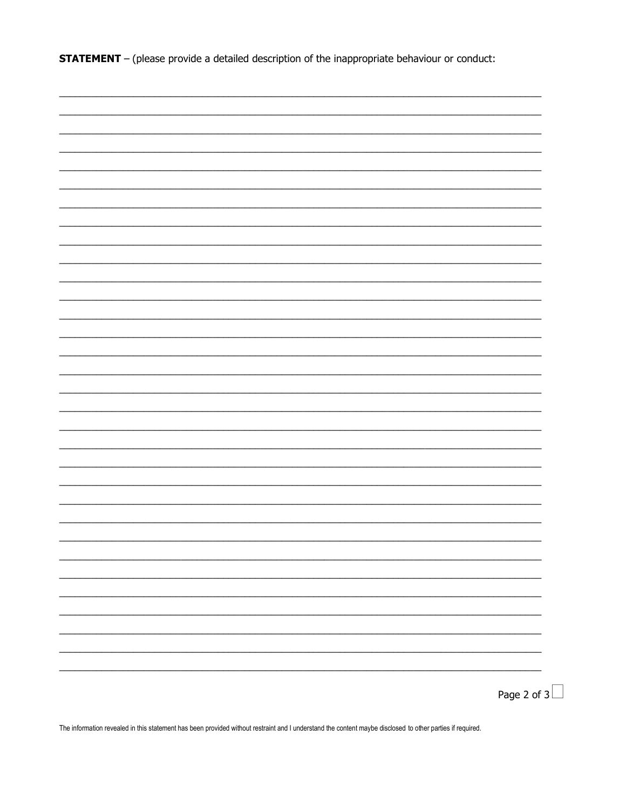**STATEMENT** - (please provide a detailed description of the inappropriate behaviour or conduct:

| Page 2 of $3$ |
|---------------|

The information revealed in this statement has been provided without restraint and I understand the content maybe disclosed to other parties if required.